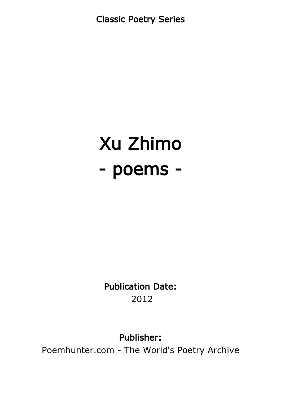Classic Poetry Series

## Xu Zhimo - poems -

Publication Date: 2012

Publisher:

Poemhunter.com - The World's Poetry Archive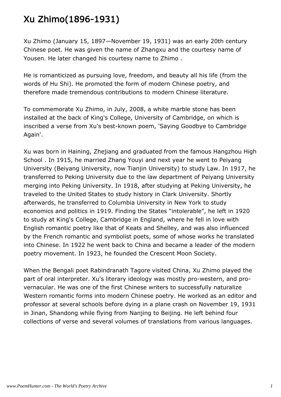## Xu Zhimo(1896-1931)

Xu Zhimo (January 15, 1897—November 19, 1931) was an early 20th century Chinese poet. He was given the name of Zhangxu and the courtesy name of Yousen. He later changed his courtesy name to Zhimo .

He is romanticized as pursuing love, freedom, and beauty all his life (from the words of Hu Shi). He promoted the form of modern Chinese poetry, and therefore made tremendous contributions to modern Chinese literature.

To commemorate Xu Zhimo, in July, 2008, a white marble stone has been installed at the back of King's College, University of Cambridge, on which is inscribed a verse from Xu's best-known poem, 'Saying Goodbye to Cambridge Again'.

Xu was born in Haining, Zhejiang and graduated from the famous Hangzhou High School . In 1915, he married Zhang Youyi and next year he went to Peiyang University (Beiyang University, now Tianjin University) to study Law. In 1917, he transferred to Peking University due to the law department of Peiyang University merging into Peking University. In 1918, after studying at Peking University, he traveled to the United States to study history in Clark University. Shortly afterwards, he transferred to Columbia University in New York to study economics and politics in 1919. Finding the States "intolerable", he left in 1920 to study at King's College, Cambridge in England, where he fell in love with English romantic poetry like that of Keats and Shelley, and was also influenced by the French romantic and symbolist poets, some of whose works he translated into Chinese. In 1922 he went back to China and became a leader of the modern poetry movement. In 1923, he founded the Crescent Moon Society.

When the Bengali poet Rabindranath Tagore visited China, Xu Zhimo played the part of oral interpreter. Xu's literary ideology was mostly pro-western, and provernacular. He was one of the first Chinese writers to successfully naturalize Western romantic forms into modern Chinese poetry. He worked as an editor and professor at several schools before dying in a plane crash on November 19, 1931 in Jinan, Shandong while flying from Nanjing to Beijing. He left behind four collections of verse and several volumes of translations from various languages.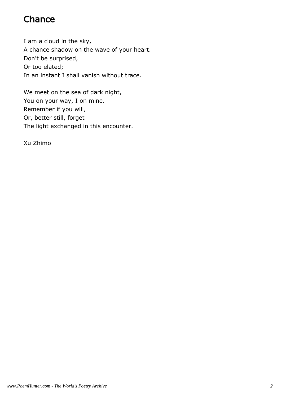## **Chance**

I am a cloud in the sky, A chance shadow on the wave of your heart. Don't be surprised, Or too elated; In an instant I shall vanish without trace.

We meet on the sea of dark night, You on your way, I on mine. Remember if you will, Or, better still, forget The light exchanged in this encounter.

Xu Zhimo